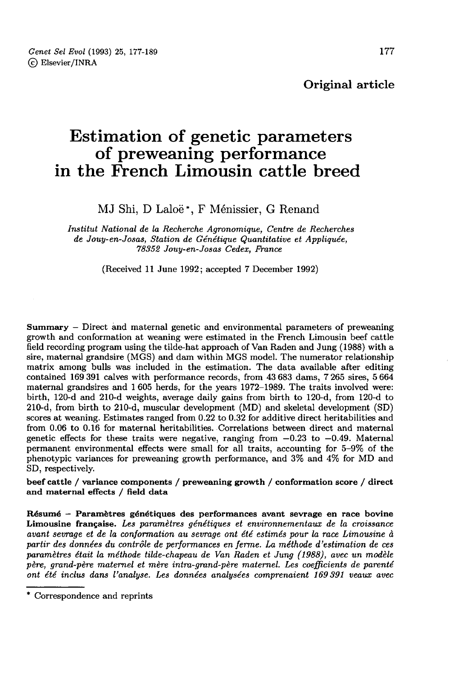Original article

# Estimation of genetic parameters<br>of preweaning performance in the French Limousin cattle breed

MJ Shi, D Laloë\*, F Ménissier, G Renand

Institut National de la Recherche Agronomique, Centre de Recherches de Jouy-en-Josas, Station de Génétique Quantitative et Appliquée, 78352 Jouy-en-Josas Cedex, France

(Received 11 June 1992; accepted 7 December 1992)

Summary - Direct and maternal genetic and environmental parameters of preweaning growth and conformation at weaning were estimated in the French Limousin beef cattle field recording program using the tilde-hat approach of Van Raden and Jung (1988) with a sire, maternal grandsire (MGS) and dam within MGS model. The numerator relationship matrix among bulls was included in the estimation. The data available after editing contained 169 391 calves with performance records, from 43 683 dams, 7 265 sires, 5 664 maternal grandsires and 1 605 herds, for the years 1972-1989. The traits involved were: birth, 120-d and 210-d weights, average daily gains from birth to 120-d, from 120-d to scores at weaning. Estimates ranged from  $0.22$  to  $0.32$  for additive direct heritabilities and from 0.06 to 0.16 for maternal heritabilities. Correlations between direct and maternal genetic effects for these traits were negative, ranging from  $-0.23$  to  $-0.49$ . Maternal permanent environmental effects were small for all traits, accounting for 5-9% of the phenotypic variances for preweaning growth performance, and 3% and 4% for MD and SD, respectively.

beef cattle / variance components / preweaning growth / conformation score / direct and maternal effects / field data

Résumé - Paramètres génétiques des performances avant sevrage en race bovine Limousine française. Les paramètres génétiques et environnementaux de la croissance avant sevrage et de la conformation au sevrage ont été estimés pour la race Limousine à partir des données du contrôle de performances en ferme. La méthode d'estimation de ces paramètres était la méthode tilde-chapeau de Van Raden et Jung (1988), avec un modèle père, grand-père maternel et mère intra-grand-père maternel. Les coefficients de parenté ont été inclus dans l'analyse. Les données analysées comprenaient 169 391 veaux avec

<sup>\*</sup> Correspondence and reprints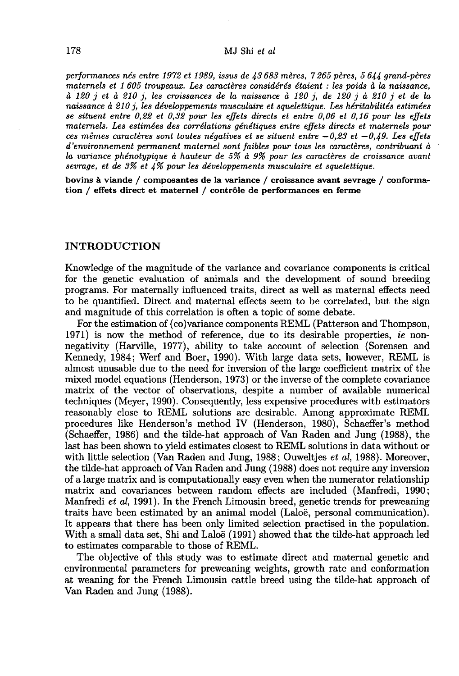#### MJ Shi et al.

performances nés entre 1972 et 1989, issus de  $\mu$ 3683 mères, 7 265 pères, 5 644 grand-pères maternels et 1 605 troupeaux. Les caractères considérés étaient : les poids à la naissance, à 120 j et à 210 j, les croissances de la naissance à 120 j, de 120 j à 210 j et de la naissance à 210 *i*, les développements musculaire et squelettique. Les héritabilités estimées se situent entre 0,22 et 0,32 pour les effets directs et entre 0,06 et 0,16 pour les effets maternels. Les estimées des corrélations génétiques entre effets directs et maternels pour ces mêmes caractères sont toutes négatives et se situent entre  $-0.23$  et  $-0.49$ . Les effets d'environnement permanent maternel sont faibles pour tous les caractères, contribuant à la variance phércotypique à hauteur de 5% à 9% pour les caractères de croissance avant sevrage, et de  $3\%$  et  $4\%$  pour les développements musculaire et squelettique.

bovins à viande / composantes de la variance / croissance avant sevrage / conformation / effets direct et maternel / contrôle de performances en ferme

#### INTRODUCTION

Knowledge of the magnitude of the variance and covariance components is critical for the genetic evaluation of animals and the development of sound breeding programs. For maternally influenced traits, direct as well as maternal effects need to be quantified. Direct and maternal effects seem to be correlated, but the sign and magnitude of this correlation is often a topic of some debate.

For the estimation of (co)variance components REML (Patterson and Thompson, 1971) is now the method of reference, due to its desirable properties, ie nonnegativity (Harville, 1977), ability to take account of selection (Sorensen and Kennedy, 1984; Werf and Boer, 1990). With large data sets, however, REML is almost unusable due to the need for inversion of the large coefficient matrix of the mixed model equations (Henderson, 1973) or the inverse of the complete covariance matrix of the vector of observations, despite a number of available numerical techniques (Meyer, 1990). Consequently, less expensive procedures with estimators reasonably close to REML solutions are desirable. Among approximate REML procedures like Henderson's method IV (Henderson, 1980), Schaeffer's method (Schaeffer, 1986) and the tilde-hat approach of Van Raden and Jung (1988), the last has been shown to yield estimates closest to REML solutions in data without or with little selection (Van Raden and Jung, 1988; Ouwelties et al, 1988). Moreover, the tilde-hat approach of Van Raden and Jung (1988) does not require any inversion of a large matrix and is computationally easy even when the numerator relationship matrix and covariances between random effects are included (Manfredi, 1990; Manfredi et al, 1991). In the French Limousin breed, genetic trends for preweaning traits have been estimated by an animal model (Laloë, personal communication). It appears that there has been only limited selection practised in the population. With a small data set, Shi and Laloë (1991) showed that the tilde-hat approach led to estimates comparable to those of REML.

The objective of this study was to estimate direct and maternal genetic and environmental parameters for preweaning weights, growth rate and conformation at weaning for the French Limousin cattle breed using the tilde-hat approach of Van Raden and Jung (1988).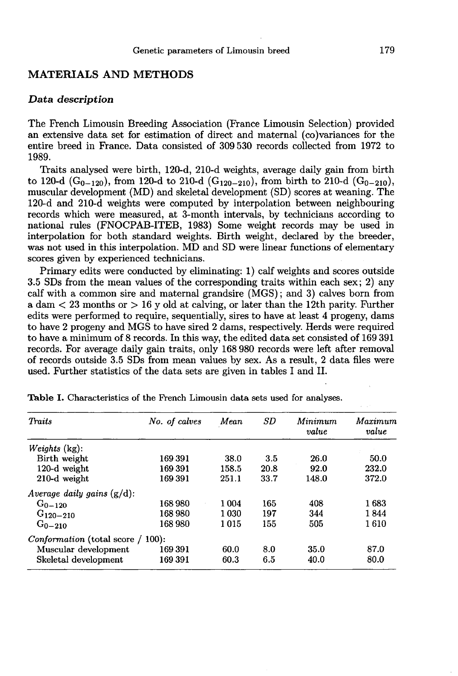### MATERIALS AND METHODS

## Data description

The French Limousin Breeding Association (France Limousin Selection) provided an extensive data set for estimation of direct and maternal (co)variances for the entire breed in France. Data consisted of 309 530 records collected from 1972 to 1989.

Traits analysed were birth, 120-d, 210-d weights, average daily gain from birth to 120-d  $(G_{0-120})$ , from 120-d to 210-d  $(G_{120-210})$ , from birth to 210-d  $(G_{0-210})$ , muscular development (MD) and skeletal development (SD) scores at weaning. The 120-d and 210-d weights were computed by interpolation between neighbouring records which were measured, at 3-month intervals, by technicians according to national rules (FNOCPAB-ITEB, 1983) Some weight records may be used in interpolation for both standard weights. Birth weight, declared by the breeder, was not used in this interpolation. MD and SD were linear functions of elementary scores given by experienced technicians.

Primary edits were conducted by eliminating: 1) calf weights and scores outside 3.5 SDs from the mean values of the corresponding traits within each sex; 2) any calf with a common sire and maternal grandsire (MGS); and 3) calves born from a dam  $\lt 23$  months or  $> 16$  y old at calving, or later than the 12th parity. Further edits were performed to require, sequentially, sires to have at least 4 progeny, dams to have 2 progeny and MGS to have sired 2 dams, respectively. Herds were required to have a minimum of 8 records. In this way, the edited data set consisted of 169 391 records. For average daily gain traits, only 168 980 records were left after removal of records outside 3.5 SDs from mean values by sex. As a result, 2 data files were used. Further statistics of the data sets are given in tables I and II.

| <b>Traits</b>                               | No. of calves | Mean  | SD   | Minimum<br>value | Maximum<br>value |
|---------------------------------------------|---------------|-------|------|------------------|------------------|
| Weights (kg):                               |               |       |      |                  |                  |
| Birth weight                                | 169391        | 38.0  | 3.5  | 26.0             | 50.0             |
| 120-d weight                                | 169391        | 158.5 | 20.8 | 92.0             | 232.0            |
| 210-d weight                                | 169391        | 251.1 | 33.7 | 148.0            | 372.0            |
| Average daily gains $(g/d)$ :               |               |       |      |                  |                  |
| $G_{0-120}$                                 | 168980        | 1 004 | 165  | 408              | 1683             |
| $G_{120-210}$                               | 168980        | 1 030 | 197  | 344              | 1844             |
| $G_{0-210}$                                 | 168 980       | 1015  | 155  | 505              | 1610             |
| <i>Conformation</i> (total score $/ 100$ ): |               |       |      |                  |                  |
| Muscular development                        | 169391        | 60.0  | 8.0  | 35.0             | 87.0             |
| Skeletal development                        | 169391        | 60.3  | 6.5  | 40.0             | 80.0             |

Table I. Characteristics of the French Limousin data sets used for analyses.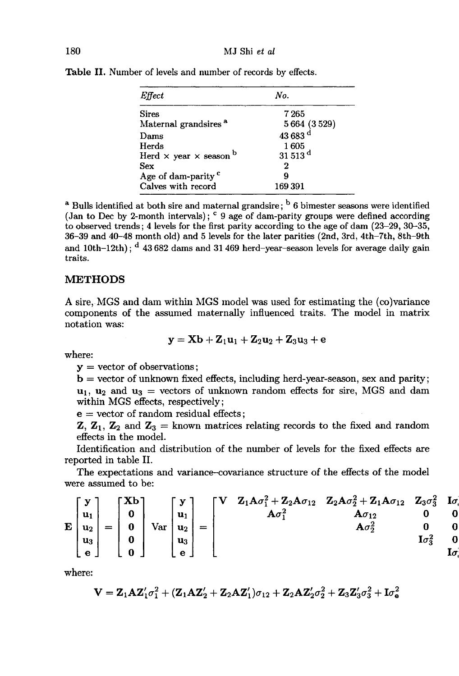| Effect                                    | No.                                 |  |  |
|-------------------------------------------|-------------------------------------|--|--|
| <b>Sires</b>                              | 7265                                |  |  |
| Maternal grandsires <sup>a</sup>          |                                     |  |  |
| Dams                                      | $5664(3529)$<br>43 683 <sup>d</sup> |  |  |
| Herds                                     | 1605                                |  |  |
| Herd $\times$ year $\times$ season $^{b}$ | $31513$ <sup>d</sup>                |  |  |
| Sex                                       | 2                                   |  |  |
| Age of dam-parity <sup>c</sup>            | g                                   |  |  |
| Calves with record                        | 169391                              |  |  |

Table II. Number of levels and number of records by effects.

<sup>a</sup> Bulls identified at both sire and maternal grandsire; <sup>b</sup> 6 bimester seasons were identified (Jan to Dec by 2-month intervals); <sup>c</sup> 9 age of dam-parity groups were defined according to observed trends; 4 levels for the first parity according to the age of dam (23-29, 30-35, 36-39 and 40-48 month old) and 5 levels for the later parities (2nd, 3rd, 4th–7th, 8th–9th and  $10th-12th$ ;  $d$  43 682 dams and 31 469 herd-vear-season levels for average daily gain traits.

## METHODS

A sire, MGS and dam within MGS model was used for estimating the (co)variance components of the assumed maternally influenced traits. The model in matrix notation was:

$$
\mathbf{y} = \mathbf{X}\mathbf{b} + \mathbf{Z}_1\mathbf{u}_1 + \mathbf{Z}_2\mathbf{u}_2 + \mathbf{Z}_3\mathbf{u}_3 + \mathbf{e}
$$

where:

 $y =$  vector of observations;

 $\mathbf{b} = \text{vector of unknown fixed effects, including herd-year-season, sex and parity};$  $\mathbf{u}_1$ ,  $\mathbf{u}_2$  and  $\mathbf{u}_3$  = vectors of unknown random effects for sire, MGS and dam within MGS effects, respectively;

 $e =$  vector of random residual effects;

**Z**,  $\mathbf{Z}_1$ ,  $\mathbf{Z}_2$  and  $\mathbf{Z}_3$  = known matrices relating records to the fixed and random effects in the model.

Identification and distribution of the number of levels for the fixed effects are reported in table II.

The expectations and variance-covariance structure of the effects of the model were assumed to be:

$$
\mathbf{E}\begin{bmatrix} \mathbf{y} \\ \mathbf{u}_1 \\ \mathbf{u}_2 \\ \mathbf{u}_3 \\ \mathbf{e} \end{bmatrix} = \begin{bmatrix} \mathbf{X}\mathbf{b} \\ \mathbf{0} \\ \mathbf{0} \\ \mathbf{0} \\ \mathbf{0} \end{bmatrix} \text{Var}\begin{bmatrix} \mathbf{y} \\ \mathbf{u}_1 \\ \mathbf{u}_2 \\ \mathbf{u}_3 \\ \mathbf{e} \end{bmatrix} = \begin{bmatrix} \mathbf{V} & \mathbf{Z}_1\mathbf{A}\sigma_1^2 + \mathbf{Z}_2\mathbf{A}\sigma_{12} & \mathbf{Z}_2\mathbf{A}\sigma_2^2 + \mathbf{Z}_1\mathbf{A}\sigma_{12} & \mathbf{Z}_3\sigma_3^2 & \mathbf{I}\sigma_3^2 \\ \mathbf{A}\sigma_1^2 & \mathbf{A}\sigma_1^2 & \mathbf{0} & \mathbf{0} \\ \mathbf{A}\sigma_1^2 & \mathbf{A}\sigma_2^2 & \mathbf{0} & \mathbf{0} \\ \mathbf{A}\sigma_2^2 & \mathbf{0} & \mathbf{I}\sigma_3^2 & \mathbf{I}\sigma_3^2 \end{bmatrix}
$$

where:

$$
\mathbf{V} = \mathbf{Z}_1\mathbf{A}\mathbf{Z}_1'\sigma_1^2 + (\mathbf{Z}_1\mathbf{A}\mathbf{Z}_2' + \mathbf{Z}_2\mathbf{A}\mathbf{Z}_1')\sigma_{12} + \mathbf{Z}_2\mathbf{A}\mathbf{Z}_2'\sigma_2^2 + \mathbf{Z}_3\mathbf{Z}_3'\sigma_3^2 + \mathbf{I}\sigma_\mathbf{e}^2
$$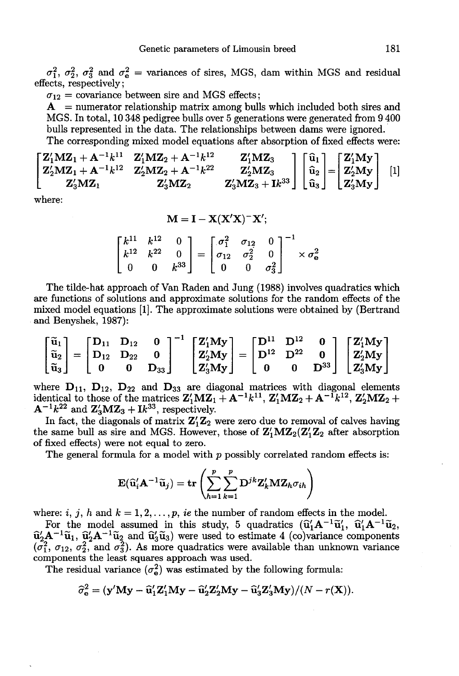$\sigma_1^2$ ,  $\sigma_2^2$ ,  $\sigma_3^2$  and  $\sigma_e^2$  = variances of sires, MGS, dam within MGS and residual effects, respectively;

 $\sigma_{12}$  = covariance between sire and MGS effects;

 $A =$  numerator relationship matrix among bulls which included both sires and MGS. In total, 10 348 pedigree bulls over 5 generations were generated from 9 400 bulls represented in the data. The relationships between dams were ignored. The corresponding mixed model equations after absorption of fixed effects were:

$$
\begin{bmatrix} \mathbf{Z}_1' \mathbf{M} \mathbf{Z}_1 + \mathbf{A}^{-1} k^{11} & \mathbf{Z}_1' \mathbf{M} \mathbf{Z}_2 + \mathbf{A}^{-1} k^{12} & \mathbf{Z}_1' \mathbf{M} \mathbf{Z}_3 \\ \mathbf{Z}_2' \mathbf{M} \mathbf{Z}_1 + \mathbf{A}^{-1} k^{12} & \mathbf{Z}_2' \mathbf{M} \mathbf{Z}_2 + \mathbf{A}^{-1} k^{22} & \mathbf{Z}_2' \mathbf{M} \mathbf{Z}_3 \\ \mathbf{Z}_3' \mathbf{M} \mathbf{Z}_1 & \mathbf{Z}_3' \mathbf{M} \mathbf{Z}_2 & \mathbf{Z}_3' \mathbf{M} \mathbf{Z}_3 + \mathbf{I} k^{33} \end{bmatrix} \begin{bmatrix} \hat{\mathbf{u}}_1 \\ \hat{\mathbf{u}}_2 \\ \hat{\mathbf{u}}_3 \end{bmatrix} = \begin{bmatrix} \mathbf{Z}_1' \mathbf{M} \mathbf{y} \\ \mathbf{Z}_2' \mathbf{M} \mathbf{y} \\ \mathbf{Z}_3' \mathbf{M} \mathbf{y} \end{bmatrix} \quad [1]
$$

where:

$$
M = I - X(X'X)^{-}X';
$$

 $\begin{bmatrix} k^{11} & k^{12} & 0 \\ k^{12} & k^{22} & 0 \\ 0 & 0 & k^{33} \end{bmatrix} = \begin{bmatrix} \sigma_1^2 & \sigma_{12} & 0 \\ \sigma_{12} & \sigma_2^2 & 0 \\ 0 & 0 & \sigma_3^2 \end{bmatrix}^{-1} \times \sigma_{\mathbf{e}}^2$ 

The tilde-hat approach of Van Raden and Jung (1988) involves quadratics which are functions of solutions and approximate solutions for the random effects of the mixed model equations !l). The approximate solutions were obtained by (Bertrand and Benyshek, 1987):

$$
\begin{bmatrix} \widetilde{\mathbf{u}}_1 \\ \widetilde{\mathbf{u}}_2 \\ \widetilde{\mathbf{u}}_3 \end{bmatrix} = \begin{bmatrix} \mathbf{D}_{11} & \mathbf{D}_{12} & \mathbf{0} \\ \mathbf{D}_{12} & \mathbf{D}_{22} & \mathbf{0} \\ \mathbf{0} & \mathbf{0} & \mathbf{D}_{33} \end{bmatrix}^{-1} \begin{bmatrix} \mathbf{Z}_1^\prime \mathbf{M} \mathbf{y} \\ \mathbf{Z}_2^\prime \mathbf{M} \mathbf{y} \\ \mathbf{Z}_3^\prime \mathbf{M} \mathbf{y} \end{bmatrix} = \begin{bmatrix} \mathbf{D}^{11} & \mathbf{D}^{12} & \mathbf{0} \\ \mathbf{D}^{12} & \mathbf{D}^{22} & \mathbf{0} \\ \mathbf{0} & \mathbf{0} & \mathbf{D}^{33} \end{bmatrix} \begin{bmatrix} \mathbf{Z}_1^\prime \mathbf{M} \mathbf{y} \\ \mathbf{Z}_2^\prime \mathbf{M} \mathbf{y} \\ \mathbf{Z}_3^\prime \mathbf{M} \mathbf{y} \end{bmatrix}
$$

 $\lfloor u_3 \rfloor$   $\lfloor 0$   $0$   $D_{33} \rfloor$   $\lfloor Z_3 M y \rfloor$   $\lfloor 0$   $0$   $D^{33} \rfloor$   $\lfloor Z_3 M y \rfloor$ <br>where  $D_{11}$ ,  $D_{12}$ ,  $D_{22}$  and  $D_{33}$  are diagonal matrices with diagonal elements<br>identical to those of the matrices  $Z'MZ_+ + \Lambda^{-1$  $\begin{bmatrix} \mathbf{u}_2 \\ \tilde{\mathbf{u}}_3 \end{bmatrix} = \begin{bmatrix} \mathbf{D}_{12} & \mathbf{D}_{22} & \mathbf{0} \\ \mathbf{0} & \mathbf{0} & \mathbf{D}_{33} \end{bmatrix} \begin{bmatrix} \mathbf{z}_2 \mathbf{w}_1 \mathbf{y} \\ \mathbf{Z}_3' \mathbf{M} \mathbf{y} \end{bmatrix} = \begin{bmatrix} \mathbf{D} & \mathbf{D} & \mathbf{0} \\ \mathbf{0} & \mathbf{0} & \mathbf{D}^{33} \end{bmatrix} \begin{bmatrix} \mathbf{z}_2 \math$ where  $D_{11}$ ,  $D_{12}$ ,  $D_{22}$  and  $D_{33}$  are dividentical to those of the matrices  $\mathbf{Z}'_1 \mathbf{M} \mathbf{Z}_1$ <br> $\mathbf{A}^{-1} k^{22}$  and  $\mathbf{Z}'_3 \mathbf{M} \mathbf{Z}_3 + k^{33}$ , respectively.<br>In fact, the diagonals of matrix  $\mathbf{Z}'_1 \mathbf$  $\begin{bmatrix} 1 & 2 & 3 \ 0 & 0 & 0 \end{bmatrix}$   $\begin{bmatrix} 2 & 2 & 3 \ 2 & 3 & 2 \end{bmatrix}$   $\begin{bmatrix} 2^{21.5} & 0 \ 0 & 0 & 0 \end{bmatrix}$   $\begin{bmatrix} 2^{21.5} & 0 \ 0 & 0 & 0 \end{bmatrix}$ <br>
where  $D_{11}$ ,  $D_{12}$ ,  $D_{22}$  and  $D_{33}$  are diagonal matrices with diagonal elemen

In fact, the diagonals of matrix  $\mathbf{Z}_1' \mathbf{Z}_2$  were zero due to removal of calves having the same bull as sire and MGS. However, those of  $\mathbf{Z}_1' M \mathbf{Z}_2 (\mathbf{Z}_1' \mathbf{Z}_2)$  after absorption of fixed effects) were not equal to zero.

The general formula for a model with  $p$  possibly correlated random effects is:

$$
\mathbf{E}(\widehat{\mathbf{u}}_i'A^{-1}\widetilde{\mathbf{u}}_j) = \mathbf{tr}\left(\sum_{h=1}^p\sum_{k=1}^p \mathbf{D}^{jk}\mathbf{Z}_k'\mathbf{M}\mathbf{Z}_h\sigma_{ih}\right)
$$

where: i, j, h and  $k = 1, 2, ..., p$ , ie the number of random effects in the model.

For the model assumed in this study, 5 quadratics  $(\hat{\mathbf{u}}'_1 \mathbf{A}^{-1} \hat{\mathbf{u}}'_1, \hat{\mathbf{u}}'_1 \mathbf{A}^{-1} \hat{\mathbf{u}}_2)$  $E(\mathbf{u}_i \mathbf{A} - \mathbf{u}_j) = \mathbf{H} \left( \sum_{h=1}^{N} \sum_{k=1}^{N} \mathbf{L}_k \mathbf{M} \mathbf{L}_h \mathbf{u}_h \right)$ <br>where: *i*, *j*, *h* and  $k = 1, 2, ..., p$ , *ie* the number of random effects in the model.<br>For the model assumed in this study, 5 quadratic

$$
\widehat{\sigma}_{\mathbf{e}}^2 = (\mathbf{y}'\mathbf{M}\mathbf{y} - \widehat{\mathbf{u}}_1'\mathbf{Z}_1'\mathbf{M}\mathbf{y} - \widehat{\mathbf{u}}_2'\mathbf{Z}_2'\mathbf{M}\mathbf{y} - \widehat{\mathbf{u}}_3'\mathbf{Z}_3'\mathbf{M}\mathbf{y})/(N - r(\mathbf{X})).
$$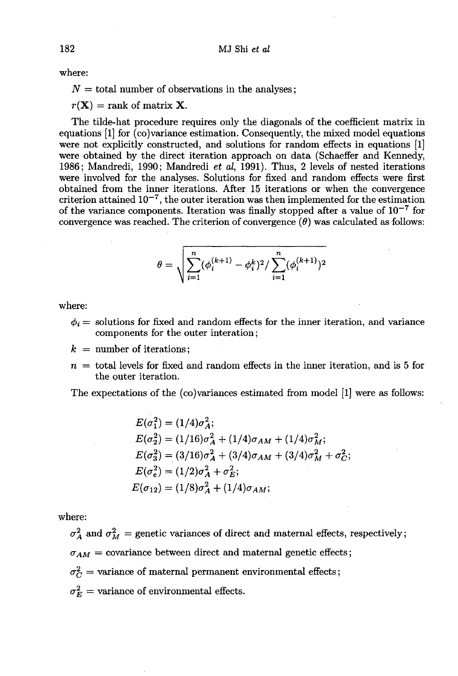where:

 $N =$  total number of observations in the analyses;

 $r(\mathbf{X}) = \text{rank of matrix } \mathbf{X}.$ 

The tilde-hat procedure requires only the diagonals of the coefficient matrix in equations [1] for (co)variance estimation. Consequently, the mixed model equations were not explicitly constructed, and solutions for random effects in equations [1] were obtained by the direct iteration approach on data (Schaeffer and Kennedy, 1986; Mandredi, 1990; Mandredi et al, 1991). Thus, 2 levels of nested iterations were involved for the analyses. Solutions for fixed and random effects were first obtained from the inner iterations. After 15 iterations or when the convergence were involved for the analyses. Solutions for fixed and random effects were first<br>obtained from the inner iterations. After 15 iterations or when the convergence<br>criterion attained  $10^{-7}$ , the outer iteration was then im ootaned from the inner iterations. After 15 iterations or when the convergence<br>criterion attained  $10^{-7}$ , the outer iteration was then implemented for the estimation<br>of the variance components. Iteration was finally stop convergence was reached. The criterion of convergence  $(\theta)$  was calculated as follows:

$$
\theta = \sqrt{\sum_{i=1}^n (\phi_i^{(k+1)} - \phi_i^k)^2 / \sum_{i=1}^n (\phi_i^{(k+1)})^2}
$$

where:  $\blacksquare$ 

- $\phi_i$  = solutions for fixed and random effects for the inner iteration, and variance components for the outer interation;
- $k =$  number of iterations:
- $n =$  total levels for fixed and random effects in the inner iteration, and is 5 for the outer iteration.

The expectations of the (co)variances estimated from model [1] were as follows:

$$
E(\sigma_1^2) = (1/4)\sigma_A^2;
$$
  
\n
$$
E(\sigma_2^2) = (1/16)\sigma_A^2 + (1/4)\sigma_{AM} + (1/4)\sigma_M^2;
$$
  
\n
$$
E(\sigma_3^2) = (3/16)\sigma_A^2 + (3/4)\sigma_{AM} + (3/4)\sigma_M^2 + \sigma_C^2;
$$
  
\n
$$
E(\sigma_e^2) = (1/2)\sigma_A^2 + \sigma_E^2;
$$
  
\n
$$
E(\sigma_{12}) = (1/8)\sigma_A^2 + (1/4)\sigma_{AM};
$$

where:

 $\sigma_A^2$  and  $\sigma_M^2$  = genetic variances of direct and maternal effects, respectively;  $\sigma_{AM}$  = covariance between direct and maternal genetic effects;  $\sigma_C^2$  = variance of maternal permanent environmental effects;  $\sigma_E^2$  = variance of environmental effects.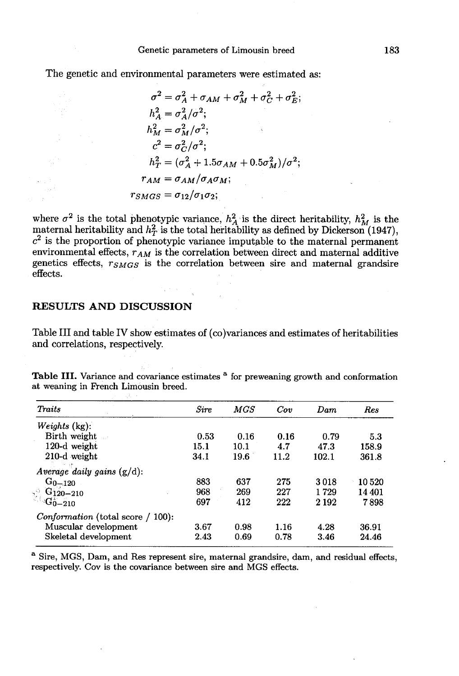The genetic and environmental parameters were estimated as:

$$
\sigma^2 = \sigma_A^2 + \sigma_{AM} + \sigma_M^2 + \sigma_C^2 + \sigma_E^2;
$$
  
\n
$$
h_A^2 = \sigma_A^2/\sigma^2;
$$
  
\n
$$
h_M^2 = \sigma_M^2/\sigma^2;
$$
  
\n
$$
c^2 = \sigma_C^2/\sigma^2;
$$
  
\n
$$
h_T^2 = (\sigma_A^2 + 1.5\sigma_{AM} + 0.5\sigma_M^2)/\sigma^2;
$$
  
\n
$$
r_{AM} = \sigma_{AM}/\sigma_A \sigma_M;
$$
  
\n
$$
r_{SMGS} = \sigma_{12}/\sigma_1 \sigma_2;
$$

where  $\sigma^2$  is the total phenotypic variance,  $h_A^2$  is the direct heritability,  $h_M^2$  is the maternal heritability and  $h_T^2$  is the total heritability as defined by Dickerson (1947),  $c^2$  is the proportion of phenotypic variance imputable to the maternal permanent<br>environmental effects,  $r_{AM}$  is the correlation between direct and maternal additive<br>genetics offects,  $r_{AM}$  is the correlation between environmental effects,  $r_{AM}$  is the correlation between direct and maternal additive genetics effects,  $r_{SMGS}$  is the correlation between sire and maternal grandsire effects.

### RESULTS AND DISCUSSION

Table III and table IV show estimates of (co)variances and estimates of heritabilities and correlations, respectively.

Table III. Variance and covariance estimates <sup>a</sup> for preweaning growth and conformation at weaning in French Limousin breed.

| <b>Traits</b>                                                    | Sire | MGS  | Cov  | Dam     | Res    |
|------------------------------------------------------------------|------|------|------|---------|--------|
| $Weights$ (kg):                                                  |      |      |      |         |        |
| Birth weight                                                     | 0.53 | 0.16 | 0.16 | 0.79    | 5.3    |
| 120-d weight                                                     | 15.1 | 10.1 | 4.7  | 47.3    | 158.9  |
| 210-d weight                                                     | 34.1 | 19.6 | 11.2 | 102.1   | 361.8  |
| Average daily gains $(g/d)$ :                                    |      |      |      |         |        |
| $G_{0-120}$                                                      | 883  | 637  | 275  | 3018    | 10520  |
|                                                                  | 968  | 269  | 227  | 1729    | 14 401 |
| $\begin{array}{cc} \odot & 6120 - 210 \\ -G_0 - 210 \end{array}$ | 697  | 412  | 222  | 2 1 9 2 | 7898   |
| <i>Conformation</i> (total score / 100):                         |      |      |      |         |        |
| Muscular development                                             | 3.67 | 0.98 | 1.16 | 4.28    | 36.91  |
| Skeletal development                                             | 2.43 | 0.69 | 0.78 | 3.46    | 24.46  |

<sup>a</sup> Sire, MGS, Dam, and Res represent sire, maternal grandsire, dam, and residual effects, respectively. Cov is the covariance between sire and MGS effects.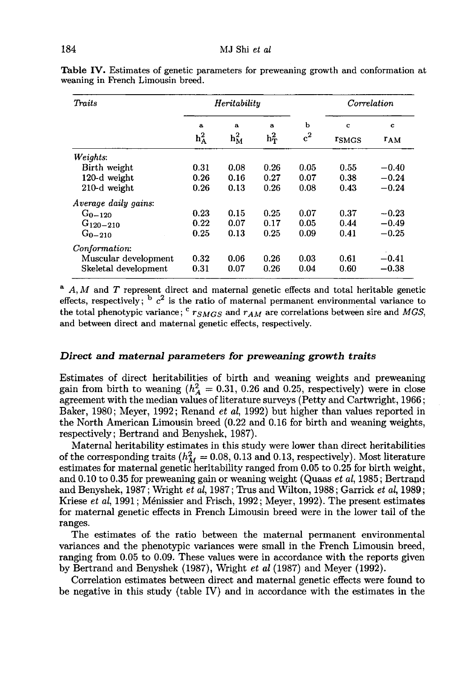| Traits                      | Heritability            |                               |                         | Correlation |                        |                      |
|-----------------------------|-------------------------|-------------------------------|-------------------------|-------------|------------------------|----------------------|
|                             | $\mathbf{a}$<br>$h_A^2$ | $\mathbf{a}$<br>$h_{\rm M}^2$ | $\mathbf{a}$<br>$h_T^2$ | ь<br>$c^2$  | C<br><sup>r</sup> SMGS | c<br>r <sub>AM</sub> |
| Weights:                    |                         |                               |                         |             |                        |                      |
| Birth weight                | 0.31                    | 0.08                          | 0.26                    | 0.05        | 0.55                   | $-0.40$              |
| 120-d weight                | 0.26                    | 0.16                          | 0.27                    | 0.07        | 0.38                   | $-0.24$              |
| 210-d weight                | 0.26                    | 0.13                          | 0.26                    | 0.08        | 0.43                   | $-0.24$              |
| <i>Average daily gains:</i> |                         |                               |                         |             |                        |                      |
| $G_{0-120}$                 | 0.23                    | 0.15                          | 0.25                    | 0.07        | 0.37                   | $-0.23$              |
| $G_{120-210}$               | 0.22                    | 0.07                          | 0.17                    | 0.05        | 0.44                   | $-0.49$              |
| $G_{0-210}$                 | 0.25                    | 0.13                          | 0.25                    | 0.09        | 0.41                   | $-0.25$              |
| Conformation:               |                         |                               |                         |             |                        |                      |
| Muscular development        | 0.32                    | 0.06                          | 0.26                    | 0.03        | 0.61                   | $-0.41$              |
| Skeletal development        | 0.31                    | 0.07                          | 0.26                    | 0.04        | 0.60                   | $-0.38$              |

**Table IV.** Estimates of genetic parameters for preweaning growth and conformation at weaning in French Limousin breed.

 $A, M$  and T represent direct and maternal genetic effects and total heritable genetic effects, respectively;  $\frac{1}{2}$  is the ratio of maternal permanent environmental variance to the total phenotypic variance;  $c_{TSMGS}$  and  $r_{AM}$  are correlations between sire and MGS, and between direct and maternal genetic effects, respectively.

#### Direct and maternal parameters for preweaning growth traits

Estimates of direct heritabilities of birth and weaning weights and preweaning<br>gain from birth to weaning  $(h_A^2 = 0.31, 0.26$  and 0.25, respectively) were in close<br>agreement with the modian values of literature surveys (Po agreement with the median values of literature surveys (Petty and Cartwright, 1966; Baker, 1980; Meyer, 1992; Renand *et al*, 1992) but higher than values reported in the North American Limousin breed (0.22 and 0.16 for birth and weaning weights, respectively; Bertrand and Benyshek, 1987).

Maternal heritability estimates in this study were lower than direct heritabilities of the corresponding traits ( $h_M^2 = 0.08, 0.13$  and 0.13, respectively). Most literature estimates for maternal genetic heritability ranged from 0.05 to 0.25 for birth weight, and 0.10 to 0.35 for preweaning gain or weaning weight (Quaas et al, 1985; Bertrand and Benyshek, 1987; Wright et al, 1987; Trus and Wilton, 1988; Garrick et al, 1989; Kriese *et al*, 1991; Ménissier and Frisch, 1992; Meyer, 1992). The present estimates for maternal genetic effects in French Limousin breed were in the lower tail of the ranges.

The estimates of the ratio between the maternal permanent environmental variances and the phenotypic variances were small in the French Limousin breed, ranging from 0.05 to 0.09. These values were in accordance with the reports given by Bertrand and Benyshek (1987), Wright et al (1987) and Meyer (1992).

Correlation estimates between direct and maternal genetic effects were found to be negative in this study (table IV) and in accordance with the estimates in the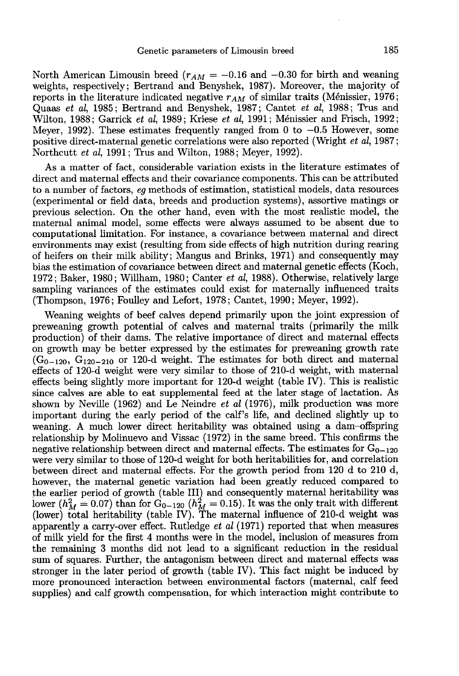North American Limousin breed ( $r_{AM} = -0.16$  and  $-0.30$  for birth and weaning weights, respectively; Bertrand and Benyshek, 1987). Moreover, the majority of<br>reports in the literature indicated negative r<sub>AM</sub> of similar traits (Ménissier, 1976;<br>contratt of al. 1988; Two and Quaas et al, 1985; Bertrand and Benyshek, 1987; Cantet et al, 1988; Trus and Wilton, 1988; Garrick et al, 1989; Kriese et al, 1991; Ménissier and Frisch, 1992; Meyer, 1992). These estimates frequently ranged from 0 to  $-0.5$  However, some positive direct-maternal genetic correlations were also reported (Wright et al, 1987; Northcutt et al, 1991; Trus and Wilton, 1988; Meyer, 1992).

As a matter of fact, considerable variation exists in the literature estimates of direct and maternal effects and their covariance components. This can be attributed to a number of factors, eg methods of estimation, statistical models, data resources (experimental or field data, breeds and production systems), assortive matings or previous selection. On the other hand, even with the most realistic model, the maternal animal model, some effects were always assumed to be absent due to computational limitation. For instance, a covariance between maternal and direct environments may exist (resulting from side effects of high nutrition during rearing of heifers on their milk ability; Mangus and Brinks, 1971) and consequently may bias the estimation of covariance between direct and maternal genetic effects (Koch, 1972; Baker, 1980; Willham, 1980; Canter et al, 1988). Otherwise, relatively large sampling variances of the estimates could exist for maternally influenced traits (Thompson, 1976; Foulley and Lefort, 1978; Cantet, 1990; Meyer, 1992).

Weaning weights of beef calves depend primarily upon the joint expression of preweaning growth potential of calves and maternal traits (primarily the milk production) of their dams. The relative importance of direct and maternal effects on growth may be better expressed by the estimates for preweaning growth rate  $(G_{0-120}, G_{120-210}$  or 120-d weight. The estimates for both direct and maternal weaning weights or beer calves depend primarily upon the joint expression on<br>preweaning growth potential of calves and maternal traits (primarily the milk<br>production) of their dams. The relative importance of direct and m effects of 120-d weight were very similar to those of 210-d weight, with maternal effects being slightly more important for 120-d weight (table IV). This is realistic since calves are able to eat supplemental feed at the later stage of lactation. As shown by Neville (1962) and Le Neindre et al (1976), milk production was more important during the early period of the calf's life, and declined slightly up to weaning. A much lower direct heritability was obtained using a dam-offspring relationship by Molinuevo and Vissac (1972) in the same breed. This confirms the negative relationship between direct and maternal effects. The estimates for  $G_{0-120}$ were very similar to those of 120-d weight for both heritabilities for, and correlation between direct and maternal effects. For the growth period from 120 d to 210 d, however, the maternal genetic variation had been greatly reduced compared to the earlier period of growth (table III) and consequently maternal heritability was the earlier period of growth (table III) and consequently maternal heritability was lower  $(h_M^2 = 0.07)$  than for  $G_{0-120}$  ( $h_M^2 = 0.15$ ). It was the only trait with different (lower) total heritability (table IV). The m apparently a carry-over effect. Rutledge et al (1971) reported that when measures of milk yield for the first 4 months were in the model, inclusion of measures from the remaining 3 months did not lead to a significant reduction in the residual sum of squares. Further, the antagonism between direct and maternal effects was stronger in the later period of growth (table IV). This fact might be induced by more pronounced interaction between environmental factors (maternal, calf feed supplies) and calf growth compensation, for which interaction might contribute to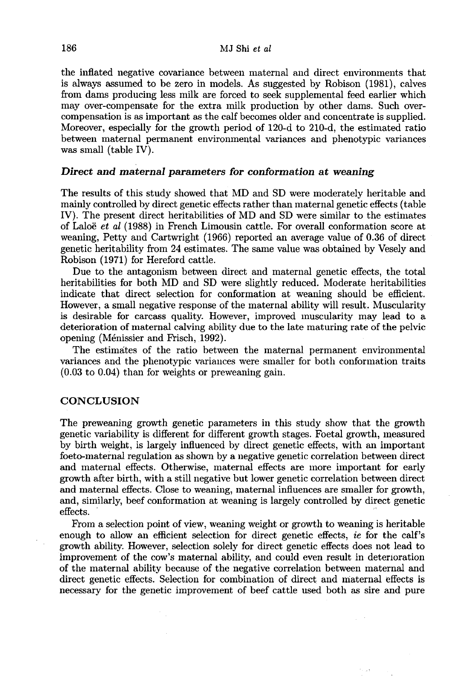the inflated negative covariance between maternal and direct environments that is always assumed to be zero in models. As suggested by Robison (1981), calves from dams producing less milk are forced to seek supplemental feed earlier which may over-compensate for the extra milk production by other dams. Such overcompensation is as important as the calf becomes older and concentrate is supplied. Moreover, especially for the growth period of 120-d to 210-d, the estimated ratio between maternal permanent environmental variances and phenotypic variances was small (table IV).

### Direct and maternal parameters for conformation at weaning

The results of this study showed that MD and SD were moderately heritable and mainly controlled by direct genetic effects rather than maternal genetic effects (table IV). The present direct heritabilities of MD and SD were similar to the estimates of Laloë  $et$  al (1988) in French Limousin cattle. For overall conformation score at weaning, Petty and Cartwright (1966) reported an average value of 0.36 of direct genetic heritability from 24 estimates. The same value was obtained by Vesely and Robison (1971) for Hereford cattle.

Due to the antagonism between direct and maternal genetic effects, the total heritabilities for both MD and SD were slightly reduced. Moderate heritabilities indicate that direct selection for conformation at weaning should be efficient. However, a small negative response of the maternal ability will result. Muscularity is desirable for carcass quality. However, improved inuscularity may lead to a deterioration of maternal calving ability due to the late maturing rate of the pelvic opening (M6nissier and Frisch, 1992).

The estimates of the ratio between the maternal permanent environmental variances and the phenotypic variances were smaller for both conformation traits (0.03 to 0.04) than for weights or preweaning gain.

## **CONCLUSION**

The preweaning growth genetic parameters in this study show that the growth genetic variability is different for different growth stages. Foetal growth, measured by birth weight, is largely influenced by direct genetic effects, with an important foeto-maternal regulation as shown by a negative genetic correlation between direct and maternal effects. Otherwise, maternal effects are more important for early growth after birth, with a still negative but lower genetic correlation between direct and maternal effects. Close to weaning, maternal influences are smaller for growth, and, similarly, beef conformation at weaning is largely controlled by direct genetic effects.  $\blacksquare$ 

From a selection point of view, weaning weight or growth to weaning is heritable enough to allow an efficient selection for direct genetic effects, ie for the calf's growth ability. However, selection solely for direct genetic effects does not lead to improvement of the cow's maternal ability, and could even result in deterioration of the maternal ability because of the negative correlation between maternal and direct genetic effects. Selection for combination of direct and maternal effects is necessary for the genetic improvement of beef cattle used both as sire and pure

 $\sim$  10

 $\sim$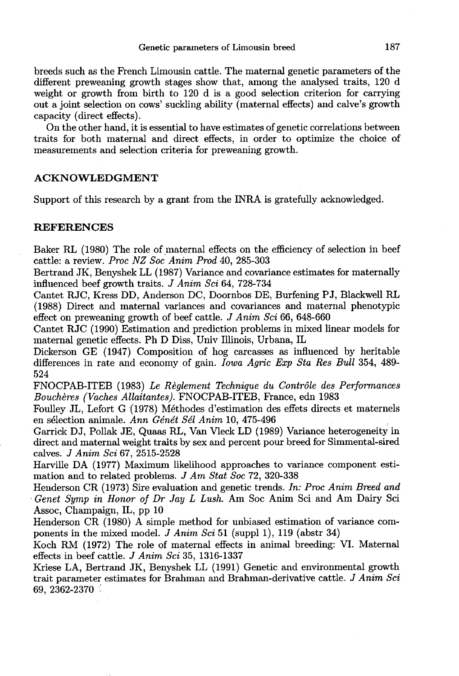breeds such as the French Limousin cattle. The maternal genetic parameters of the different preweaning growth stages show that, among the analysed traits, 120 d weight or growth from birth to 120 d is a good selection criterion for carrying out a joint selection on cows' suckling ability (maternal effects) and calve's growth capacity (direct effects).

On the other hand, it is essential to have estimates of genetic correlations between traits for both maternal and direct effects, in order to optimize the choice of measurements and selection criteria for preweaning growth.

## ACKNOWLEDGMENT

Support of this research by a grant from the INRA is gratefully acknowledged.

## REFERENCES

Baker RL (1980) The role of maternal effects on the efficiency of selection in beef cattle: a review. Proc NZ Soc Anim Prod 40, 285-303

Bertrand JK, Benyshek LL (1987) Variance and covariance estimates for maternally influenced beef growth traits. J Anim Sci 64, 728-734

Cantet RJC, Kress DD, Anderson DC, Doornbos DE, Burfening PJ, Blackwell RL (1988) Direct and maternal variances and covariances and maternal phenotypic effect on preweaning growth of beef cattle. J Anim Sci 66, 648-660

Cantet RJC (1990) Estimation and prediction problems in mixed linear models for maternal genetic effects. Ph D Diss, Univ Illinois, Urbana, IL

Dickerson GE (1947) Composition of hog carcasses as influenced by heritable differences in rate and economy of gain. *Iowa Agric Exp Sta Res Bull* 354, 489-524

FNOCPAB-ITEB (1983) Le Reglement Technique du Controle des Performances Bouchères (Vaches Allaitantes). FNOCPAB-ITEB, France, edn 1983

Foulley JL, Lefort G (1978) Méthodes d'estimation des effets directs et maternels en sélection animale. Ann Génét Sél Anim 10, 475-496

Garrick DJ, Pollak JE, Quaas RL, Van Vleck LD (1989) Variance heterogeneity in direct and maternal weight traits by sex and percent pour breed for Simmental-sired calves. J Anim Sci 67, 2515-2528

Harville DA (1977) Maximum likelihood approaches to variance component estimation and to related problems. J Am Stat Soc 72, 320-338

Henderson CR (1973) Sire evaluation and genetic trends. In: Proc Anim Breed and Genet Symp in Honor of Dr Jay L Lush. Am Soc Anim Sci and Am Dairy Sci Assoc, Champaign, IL, pp 10

Henderson CR (1980) A simple method for unbiased estimation of variance components in the mixed model. J Anim Sci 51 (suppl 1), 119 (abstr 34)

Koch RM (1972) The role of maternal effects in animal breeding: VI. Maternal effects in beef cattle. J Anim Sci 35, 1316-1337

Kriese LA, Bertrand JK, Benyshek LL (1991) Genetic and environmental growth trait parameter estimates for Brahman and Brahman-derivative cattle. J Anim Sci 69, 2362-2370  $\degree$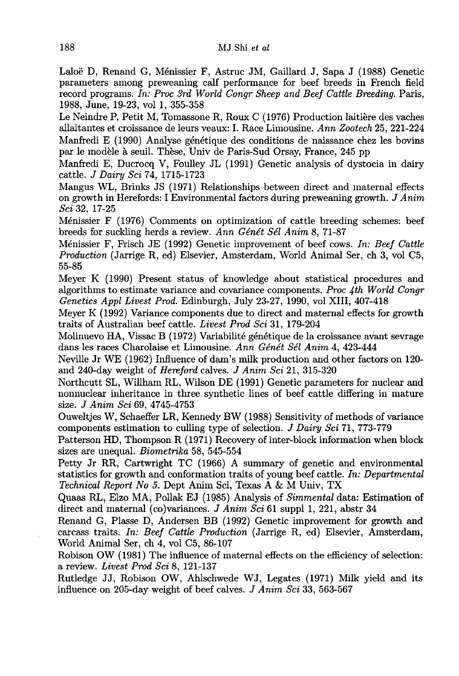Lalo6 D, Renand G, M6nissier F, Astruc JM, Gaillard J, Sapa J (1988) Genetic parameters among preweaning calf performance for beef breeds in French field record programs. In: Proc 3rd World Congr Sheep and Beef Cattle Breeding. Paris, 1988, June, 19-23, vol 1, 355-358

Le Neindre P, Petit M, Tomassone R, Roux C (1976) Production laitière des vaches allaitantes et croissance de leurs veaux: I. Race Limousine. Ann Zootech 25, 221-224 Manfredi E (1990) Analyse génétique des conditions de naissance chez les bovins par le modèle a seuil. These, Univ de Paris-Sud Orsay, France, 245 pp

Manfredi E, Ducrocq V, Foulley JL (1991) Genetic analysis of dystocia in dairy cattle. J Dairy Sci 74, 1715-1723

Mangus WL, Brinks JS (1971) Relationships between direct and maternal effects on growth in Herefords: I Environmental factors during preweaning growth. J Anim Sci 32, 17-25

Ménissier F (1976) Comments on optimization of cattle breeding schemes: beef breeds for suckling herds a review. Ann Génét Sél Anim 8, 71-87

M6nissier F, Frisch JE (1992) Genetic improvement of beef cows. In: Beef Cattle Production (Jarrige R, ed) Elsevier, Amsterdam, World Animal Ser, ch 3, vol C5, 55-85

Meyer K (1990) Present status of knowledge about statistical procedures and algorithms to estimate variance and covariance components. Proc  $4th$  World Congr Genetics Appl Livest Prod. Edinburgh, July 23-27, 1990, vol XIII, 407-418

Meyer K (1992) Variance components due to direct and maternal effects for growth traits of Australian beef cattle. Livest Prod Sci 31, 179-204

Molinuevo HA, Vissac B (1972) Variabilité génétique de la croissance avant sevrage dans les races Charolaise et Limousine. Ann Génét Sél Anim 4, 423-444

Neville Jr WE (1962) Influence of dam's milk production and other factors on 120 and 240-day weight of Hereford calves. J Anim Sci 21, 315-320

Northcutt SL, Willham RL, Wilson DE (1991) Genetic parameters for nuclear and nonnuclear inheritance in three synthetic lines of beef cattle differing in mature size. J Anim Sci 69, 4745-4753

Ouweltjes W, Schaeffer LR, Kennedy BW (1988) Sensitivity of methods of variance components estimation to culling type of selection. J Dairy Sci 71, 773-779

Patterson HD, Thompson R (1971) Recovery of inter-block information when block sizes are unequal. Biometrika 58, 545-554

Petty Jr RR, Cartwright TC (1966) A summary of genetic and environmental statistics for growth and conformation traits of young beef cattle. In: Departmental Technical Report No 5. Dept Anim Sci, Texas A & M Univ, TX

Quaas RL, Elzo MA, Pollak EJ (1985) Analysis of Simmental data: Estimation of direct and maternal (co)variances. *J Anim Sci* 61 suppl 1, 221, abstr 34

Renand G, Plasse D, Andersen BB (1992) Genetic improvement for growth and carcass traits. In: Beef Cattle Production (Jarrige R, ed) Elsevier, Amsterdam, World Animal Ser, ch 4, vol C<sub>5</sub>, 86-107

Robison OW (1981) The influence of maternal effects on the efficiency of selection: a review. Livest Prod Sci 8, 121-137

Rutledge JJ, Robison OW, Ahlschwede WJ, Legates (1971) Milk yield and its influence on 205-day weight of beef calves. J Anim Sci 33, 563-567